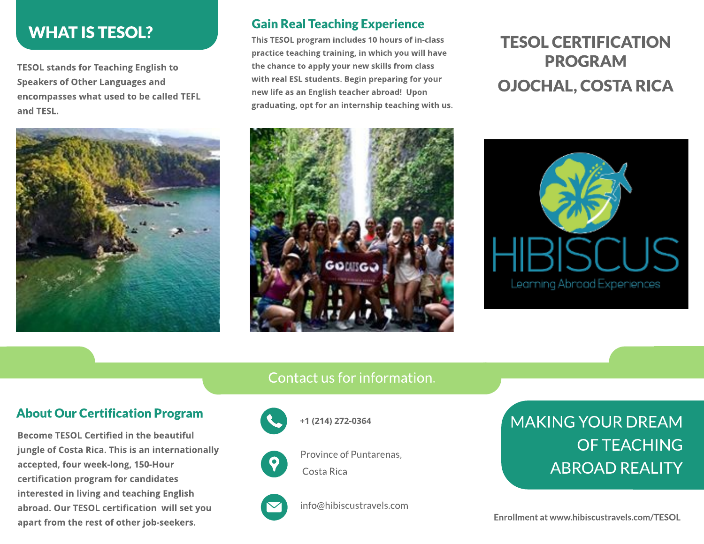# **WHAT IS TESOL?**

TESOL stands for Teaching English to Speakers of Other Languages and encompasses what used to be called TEFL and TESL.



#### Gain Real TeachingExperience

This TESOL program includes 10 hours of in-class practice teaching training, in which you will have the chance to apply your new skills from class with real ESL students. Begin preparing for your new life as an English teacher abroad! Upon graduating, opt for an internship teaching with us.

# TESOL CERTIFICATION PROGRAM OJOCHAL, COSTA RICA





#### Contact us for information.

#### About Our Certification Program

Become TESOL Certified in the beautiful jungle of Costa Rica. This is an internationally accepted, four week-long, 150-Hour certification program for candidates interested in living and teaching English abroad. Our TESOL certification will set you apart from the rest of other job-seekers.



+1 (214) 272-0364

#### Province of Puntarenas, Costa Rica



info@hibiscustravels.com

# MAKING YOUR DREAM OFTEACHING ABROAD REALITY

Enrollment at www.hibiscustravels.com/TESOL